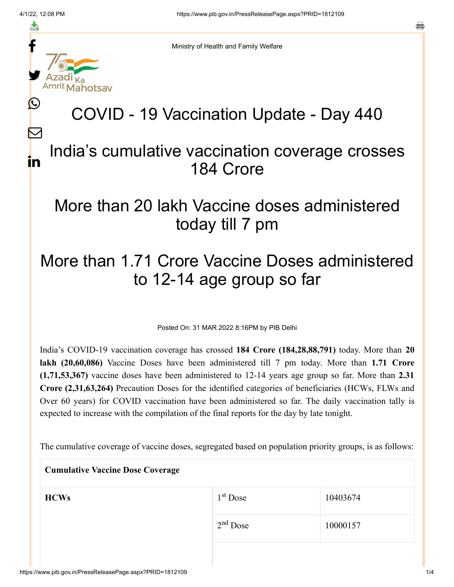f

≛

y.

L

 $\bm{\nabla}$ 

in

o

Ministry of Health and Family Welfare

# COVID - 19 Vaccination Update - Day 440

#### India's cumulative vaccination coverage crosses 184 Crore

## More than 20 lakh Vaccine doses administered today till 7 pm

## More than 1.71 Crore Vaccine Doses administered to 12-14 age group so far

Posted On: 31 MAR 2022 8:16PM by PIB Delhi

India's COVID-19 vaccination coverage has crossed **184 Crore (184,28,88,791)** today. More than **20 lakh (20,60,086)** Vaccine Doses have been administered till 7 pm today. More than **1.71 Crore (1,71,53,367)** vaccine doses have been administered to 12-14 years age group so far. More than **2.31 Crore (2,31,63,264)** Precaution Doses for the identified categories of beneficiaries (HCWs, FLWs and Over 60 years) for COVID vaccination have been administered so far. The daily vaccination tally is expected to increase with the compilation of the final reports for the day by late tonight.

The cumulative coverage of vaccine doses, segregated based on population priority groups, is as follows:

| <b>Cumulative Vaccine Dose Coverage</b> |            |          |  |  |
|-----------------------------------------|------------|----------|--|--|
| <b>HCWs</b>                             | $1st$ Dose | 10403674 |  |  |
|                                         | $2nd$ Dose | 10000157 |  |  |
|                                         |            |          |  |  |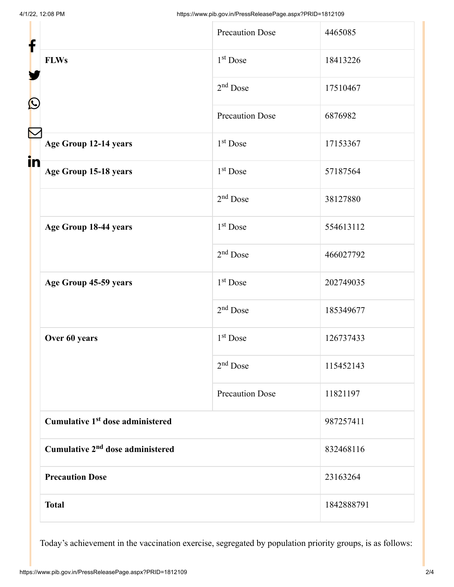| f                                            |                                              | <b>Precaution Dose</b> | 4465085    |
|----------------------------------------------|----------------------------------------------|------------------------|------------|
|                                              | <b>FLWs</b>                                  | 1 <sup>st</sup> Dose   | 18413226   |
| C                                            |                                              | $2nd$ Dose             | 17510467   |
|                                              |                                              | <b>Precaution Dose</b> | 6876982    |
|                                              | Age Group 12-14 years                        | $1st$ Dose             | 17153367   |
| in                                           | Age Group 15-18 years                        | $1st$ Dose             | 57187564   |
|                                              |                                              | $2nd$ Dose             | 38127880   |
|                                              | Age Group 18-44 years                        | 1 <sup>st</sup> Dose   | 554613112  |
|                                              |                                              | $2nd$ Dose             | 466027792  |
|                                              | Age Group 45-59 years                        | $1st$ Dose             | 202749035  |
|                                              |                                              | $2nd$ Dose             | 185349677  |
|                                              | Over 60 years                                | $1st$ Dose             | 126737433  |
|                                              |                                              | $2nd$ Dose             | 115452143  |
|                                              |                                              | <b>Precaution Dose</b> | 11821197   |
|                                              | Cumulative 1 <sup>st</sup> dose administered |                        | 987257411  |
| Cumulative 2 <sup>nd</sup> dose administered |                                              | 832468116              |            |
|                                              | <b>Precaution Dose</b>                       |                        | 23163264   |
|                                              | <b>Total</b>                                 |                        | 1842888791 |

Today's achievement in the vaccination exercise, segregated by population priority groups, is as follows: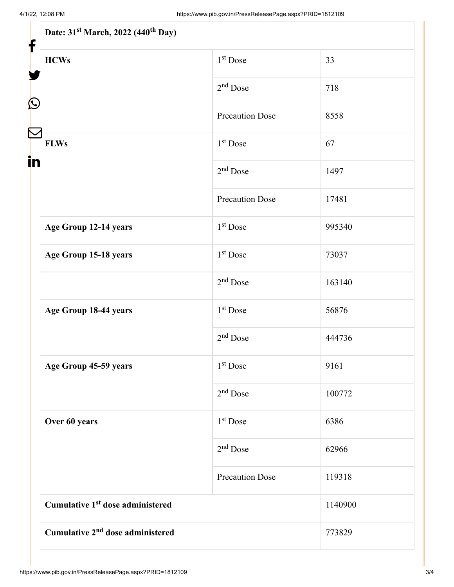| Date: 31 <sup>st</sup> March, 2022 (440 <sup>th</sup> Day) |                        |         |  |  |
|------------------------------------------------------------|------------------------|---------|--|--|
| <b>HCWs</b>                                                | $1st$ Dose             | 33      |  |  |
|                                                            | $2nd$ Dose             | 718     |  |  |
|                                                            | <b>Precaution Dose</b> | 8558    |  |  |
| <b>FLWs</b>                                                | $1st$ Dose             | 67      |  |  |
|                                                            | $2nd$ Dose             | 1497    |  |  |
|                                                            | <b>Precaution Dose</b> | 17481   |  |  |
| Age Group 12-14 years                                      | $1st$ Dose             | 995340  |  |  |
| Age Group 15-18 years                                      | $1st$ Dose             | 73037   |  |  |
|                                                            | $2nd$ Dose             | 163140  |  |  |
| Age Group 18-44 years                                      | 1 <sup>st</sup> Dose   | 56876   |  |  |
|                                                            | $2nd$ Dose             | 444736  |  |  |
| Age Group 45-59 years                                      | $1st$ Dose             | 9161    |  |  |
|                                                            | $2nd$ Dose             | 100772  |  |  |
| Over 60 years                                              | 1 <sup>st</sup> Dose   | 6386    |  |  |
|                                                            | $2nd$ Dose             | 62966   |  |  |
|                                                            | <b>Precaution Dose</b> | 119318  |  |  |
| Cumulative 1 <sup>st</sup> dose administered               |                        | 1140900 |  |  |
| Cumulative 2 <sup>nd</sup> dose administered               |                        | 773829  |  |  |